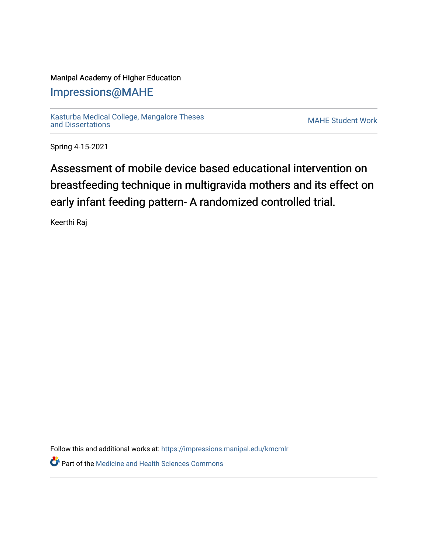## Manipal Academy of Higher Education

## [Impressions@MAHE](https://impressions.manipal.edu/)

[Kasturba Medical College, Mangalore Theses](https://impressions.manipal.edu/kmcmlr) [and Dissertations](https://impressions.manipal.edu/kmcmlr) [MAHE Student Work](https://impressions.manipal.edu/student-work) 

Spring 4-15-2021

## Assessment of mobile device based educational intervention on breastfeeding technique in multigravida mothers and its effect on early infant feeding pattern- A randomized controlled trial.

Keerthi Raj

Follow this and additional works at: [https://impressions.manipal.edu/kmcmlr](https://impressions.manipal.edu/kmcmlr?utm_source=impressions.manipal.edu%2Fkmcmlr%2F81&utm_medium=PDF&utm_campaign=PDFCoverPages) 

*O* Part of the Medicine and Health Sciences Commons